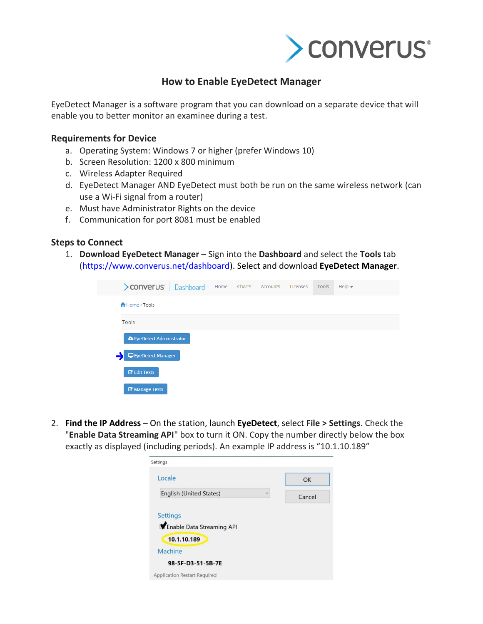

## **How to Enable EyeDetect Manager**

EyeDetect Manager is a software program that you can download on a separate device that will enable you to better monitor an examinee during a test.

## **Requirements for Device**

- a. Operating System: Windows 7 or higher (prefer Windows 10)
- b. Screen Resolution: 1200 x 800 minimum
- c. Wireless Adapter Required
- d. EyeDetect Manager AND EyeDetect must both be run on the same wireless network (can use a Wi-Fi signal from a router)
- e. Must have Administrator Rights on the device
- f. Communication for port 8081 must be enabled

## **Steps to Connect**

1. **Download EyeDetect Manager** – Sign into the **Dashboard** and select the **Tools** tab [\(https://www.converus.net/dashboard\)](https://www.converus.net/dashboard). Select and download **EyeDetect Manager**.

| > converus'   Dashboard   |  | Home Charts Accounts | Licenses | Tools | Help $\star$ |
|---------------------------|--|----------------------|----------|-------|--------------|
| <b>A</b> Home . Tools     |  |                      |          |       |              |
| Tools                     |  |                      |          |       |              |
| S EyeDetect Administrator |  |                      |          |       |              |
| EyeDetect Manager         |  |                      |          |       |              |
| <b>Z</b> Edit Tests       |  |                      |          |       |              |
| Manage Tests              |  |                      |          |       |              |

2. **Find the IP Address** – On the station, launch **EyeDetect**, select **File > Settings**. Check the "**Enable Data Streaming API**" box to turn it ON. Copy the number directly below the box exactly as displayed (including periods). An example IP address is "10.1.10.189"

| Settings                                |        |
|-----------------------------------------|--------|
| Locale                                  | OK     |
| English (United States)<br>$\checkmark$ | Cancel |
| <b>Settings</b>                         |        |
| Enable Data Streaming API               |        |
| 10.1.10.189                             |        |
| Machine                                 |        |
| 98-5F-D3-51-5B-7E                       |        |
|                                         |        |